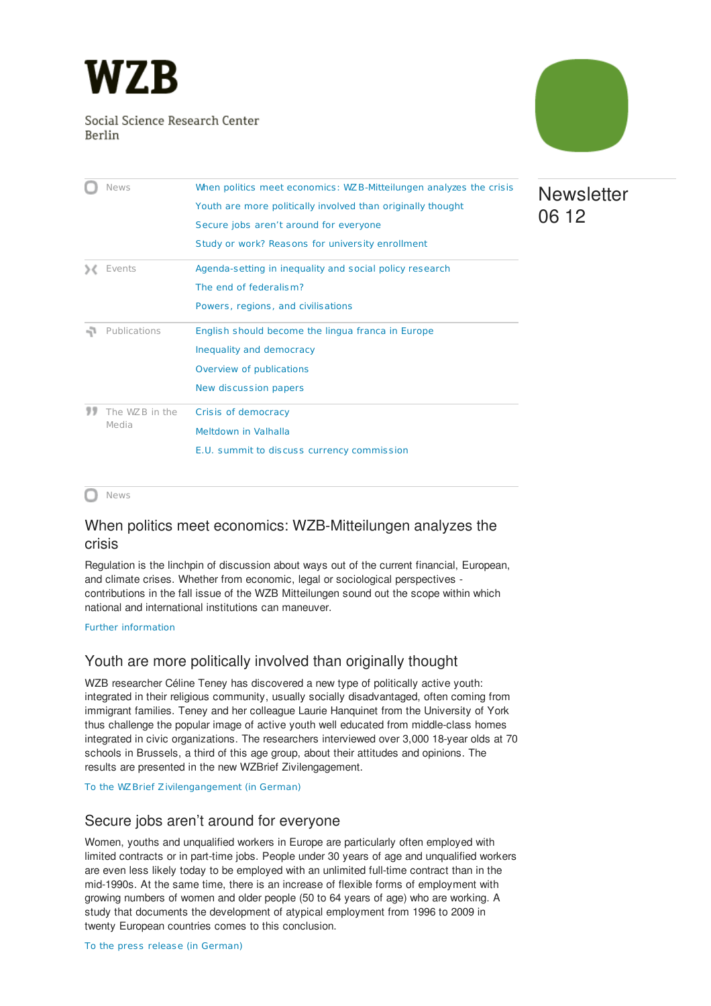<span id="page-0-3"></span>

Social Science Research Center Berlin



**Newsletter** 

06 12

|  | <b>News</b>    | When politics meet economics: WZ B-Mitteilungen analyzes the crisis |
|--|----------------|---------------------------------------------------------------------|
|  |                | Youth are more politically involved than originally thought         |
|  |                | Secure jobs aren't around for everyone                              |
|  |                | Study or work? Reasons for university enrollment                    |
|  | Events         | Agenda-setting in inequality and social policy research             |
|  |                | The end of federalism?                                              |
|  |                | Powers, regions, and civilisations                                  |
|  | Publications   | English should become the lingua franca in Europe                   |
|  |                | Inequality and democracy                                            |
|  |                | Overview of publications                                            |
|  |                | New discussion papers                                               |
|  | The WZB in the |                                                                     |
|  |                | Crisis of democracy                                                 |
|  | Media          | Meltdown in Valhalla                                                |

∩ News

## <span id="page-0-0"></span>When politics meet economics: WZB-Mitteilungen analyzes the crisis

Regulation is the linchpin of discussion about ways out of the current financial, European, and climate crises. Whether from economic, legal or sociological perspectives contributions in the fall issue of the WZB Mitteilungen sound out the scope within which national and international institutions can maneuver.

Further [information](http://www.wzb.eu/en/news/when-politics-meet-economics-wzb-mitteilungen-analyzes-the-crisis)

# <span id="page-0-1"></span>Youth are more politically involved than originally thought

WZB researcher Céline Teney has discovered a new type of politically active youth: integrated in their religious community, usually socially disadvantaged, often coming from immigrant families. Teney and her colleague Laurie Hanquinet from the University of York thus challenge the popular image of active youth well educated from middle-class homes integrated in civic organizations. The researchers interviewed over 3,000 18-year olds at 70 schools in Brussels, a third of this age group, about their attitudes and opinions. The results are presented in the new WZBrief Zivilengagement.

To the WZBrief [Zivilengangement](http://www.wzb.eu/en/publications/wzbrief-zivilengagement) (in German)

## <span id="page-0-2"></span>Secure jobs aren't around for everyone

Women, youths and unqualified workers in Europe are particularly often employed with limited contracts or in part-time jobs. People under 30 years of age and unqualified workers are even less likely today to be employed with an unlimited full-time contract than in the mid-1990s. At the same time, there is an increase of flexible forms of employment with growing numbers of women and older people (50 to 64 years of age) who are working. A study that documents the development of atypical employment from 1996 to 2009 in twenty European countries comes to this conclusion.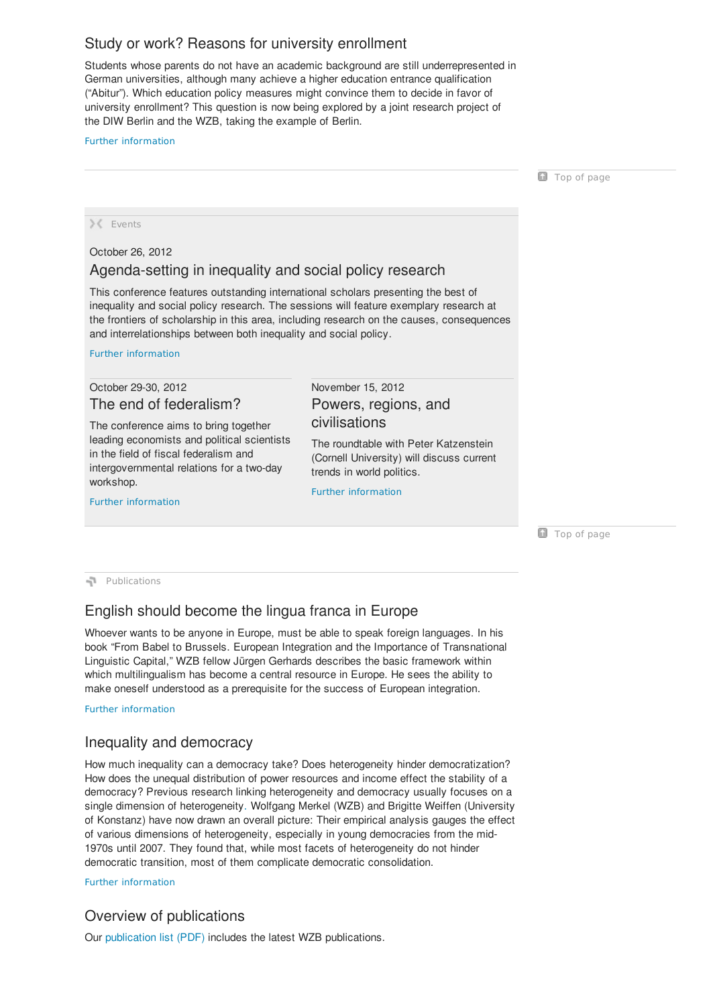# <span id="page-1-0"></span>Study or work? Reasons for university enrollment

Students whose parents do not have an academic background are still underrepresented in German universities, although many achieve a higher education entrance qualification ("Abitur"). Which education policy measures might convince them to decide in favor of university enrollment? This question is now being explored by a joint research project of the DIW Berlin and the WZB, taking the example of Berlin.

#### Further [information](http://www.wzb.eu/en/research/education-work-and-life-chances/skill-formation-and-labor-markets/projects/best-up)

<span id="page-1-1"></span>Top of [page](#page-0-3) X Events October 26, 2012 Agenda-setting in inequality and social policy research This conference features outstanding international scholars presenting the best of inequality and social policy research. The sessions will feature exemplary research at the frontiers of scholarship in this area, including research on the causes, consequences and interrelationships between both inequality and social policy. Further [information](http://www.wzb.eu/de/veranstaltungen/agenda-setting-in-inequality-and-social-policy-research) October 29-30, 2012 The end of federalism? The conference aims to bring together leading economists and political scientists in the field of fiscal federalism and intergovernmental relations for a two-day workshop. Further [information](http://www.wzb.eu/en/events/the-end-of-federalism) November 15, 2012 Powers, regions, and civilisations The roundtable with Peter Katzenstein (Cornell University) will discuss current trends in world politics. Further [information](http://www.wzb.eu/de/veranstaltungen/powers-regions-and-civilisations-current-trends-in-world-politics)

<span id="page-1-3"></span>Top of [page](#page-0-3)

<span id="page-1-2"></span>Publications

# <span id="page-1-4"></span>English should become the lingua franca in Europe

Whoever wants to be anyone in Europe, must be able to speak foreign languages. In his book "From Babel to Brussels. European Integration and the Importance of Transnational Linguistic Capital," WZB fellow Jürgen Gerhards describes the basic framework within which multilingualism has become a central resource in Europe. He sees the ability to make oneself understood as a prerequisite for the success of European integration.

Further [information](http://www.wzb.eu/en/news/english-should-become-the-lingua-franca-in-europe)

## <span id="page-1-5"></span>Inequality and democracy

How much inequality can a democracy take? Does heterogeneity hinder democratization? How does the unequal distribution of power resources and income effect the stability of a democracy? Previous research linking heterogeneity and democracy usually focuses on a single dimension of heterogeneity[.](http://www.wzb.eu/en/persons/wolfgang-merkel) Wolfgang Merkel (WZB) and Brigitte Weiffen (University of Konstanz) have now drawn an overall picture: Their empirical analysis gauges the effect of various dimensions of heterogeneity, especially in young democracies from the mid-1970s until 2007. They found that, while most facets of heterogeneity do not hinder democratic transition, most of them complicate democratic consolidation.

Further [information](http://www.wzb.eu/en/news/inequality-and-democracy)

## <span id="page-1-6"></span>Overview of publications

<span id="page-1-7"></span>Our [publication](http://www.wzb.eu/sites/default/files/u6/publikationen_august_bis_september_2012_0.pdf) list (PDF) includes the latest WZB publications.